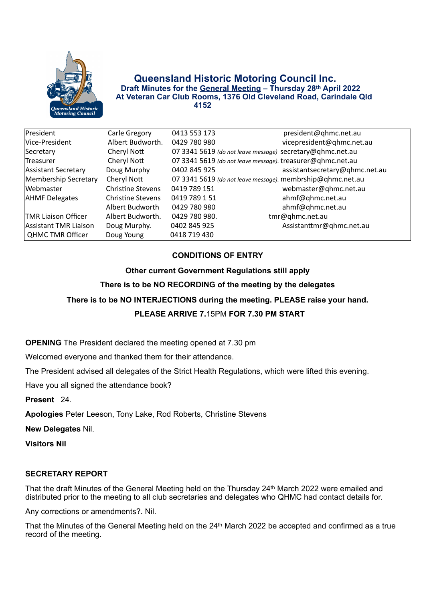

## **Queensland Historic Motoring Council Inc. Draft Minutes for the General Meeting – Thursday 28th April 2022 At Veteran Car Club Rooms, 1376 Old Cleveland Road, Carindale Qld 4152**

| President                   | Carle Gregory            | 0413 553 173  | president@qhmc.net.au                                      |
|-----------------------------|--------------------------|---------------|------------------------------------------------------------|
| Vice-President              | Albert Budworth.         | 0429 780 980  | vicepresident@qhmc.net.au                                  |
| Secretary                   | Cheryl Nott              |               | 07 3341 5619 (do not leave message) secretary@qhmc.net.au  |
| <b>Treasurer</b>            | Cheryl Nott              |               | 07 3341 5619 (do not leave message). treasurer@qhmc.net.au |
| Assistant Secretary         | Doug Murphy              | 0402 845 925  | assistantsecretary@qhmc.net.au                             |
| Membership Secretary        | Cheryl Nott              |               | 07 3341 5619 (do not leave message). membrship@qhmc.net.au |
| Webmaster                   | <b>Christine Stevens</b> | 0419 789 151  | webmaster@qhmc.net.au                                      |
| <b>AHMF Delegates</b>       | <b>Christine Stevens</b> | 0419 789 1 51 | ahmf@qhmc.net.au                                           |
|                             | Albert Budworth          | 0429 780 980  | ahmf@qhmc.net.au                                           |
| <b>ITMR Liaison Officer</b> | Albert Budworth.         | 0429 780 980. | tmr@qhmc.net.au                                            |
| Assistant TMR Liaison       | Doug Murphy.             | 0402 845 925  | Assistanttmr@qhmc.net.au                                   |
| <b>QHMC TMR Officer</b>     | Doug Young               | 0418 719 430  |                                                            |

# **CONDITIONS OF ENTRY**

**Other current Government Regulations still apply There is to be NO RECORDING of the meeting by the delegates There is to be NO INTERJECTIONS during the meeting. PLEASE raise your hand. PLEASE ARRIVE 7.**15PM **FOR 7.30 PM START** 

**OPENING** The President declared the meeting opened at 7.30 pm

Welcomed everyone and thanked them for their attendance.

The President advised all delegates of the Strict Health Regulations, which were lifted this evening.

Have you all signed the attendance book?

**Present** 24.

**Apologies** Peter Leeson, Tony Lake, Rod Roberts, Christine Stevens

**New Delegates** Nil.

**Visitors Nil** 

## **SECRETARY REPORT**

That the draft Minutes of the General Meeting held on the Thursday 24th March 2022 were emailed and distributed prior to the meeting to all club secretaries and delegates who QHMC had contact details for.

Any corrections or amendments?. Nil.

That the Minutes of the General Meeting held on the 24<sup>th</sup> March 2022 be accepted and confirmed as a true record of the meeting.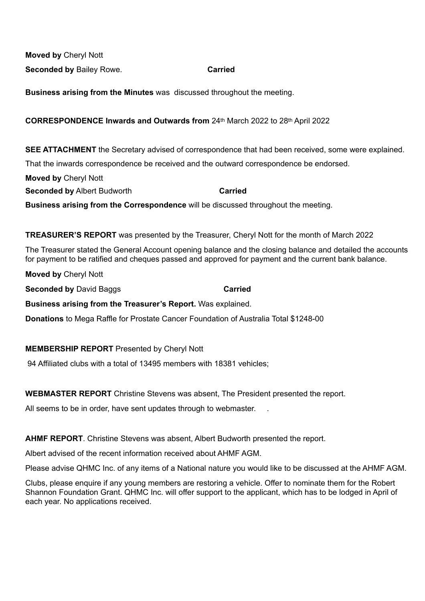**Moved by** Cheryl Nott **Seconded by Bailey Rowe. Carried** 

**Business arising from the Minutes** was discussed throughout the meeting.

## **CORRESPONDENCE Inwards and Outwards from** 24th March 2022 to 28th April 2022

**SEE ATTACHMENT** the Secretary advised of correspondence that had been received, some were explained.

That the inwards correspondence be received and the outward correspondence be endorsed.

**Moved by** Cheryl Nott **Seconded by** Albert Budworth **Carried Carried Business arising from the Correspondence** will be discussed throughout the meeting.

**TREASURER'S REPORT** was presented by the Treasurer, Cheryl Nott for the month of March 2022

The Treasurer stated the General Account opening balance and the closing balance and detailed the accounts for payment to be ratified and cheques passed and approved for payment and the current bank balance.

**Moved by** Cheryl Nott

**Seconded by David Baggs <b>Carried** 

**Business arising from the Treasurer's Report.** Was explained.

**Donations** to Mega Raffle for Prostate Cancer Foundation of Australia Total \$1248-00

### **MEMBERSHIP REPORT** Presented by Cheryl Nott

94 Affiliated clubs with a total of 13495 members with 18381 vehicles;

### **WEBMASTER REPORT** Christine Stevens was absent, The President presented the report.

All seems to be in order, have sent updates through to webmaster.

**AHMF REPORT**. Christine Stevens was absent, Albert Budworth presented the report.

Albert advised of the recent information received about AHMF AGM.

Please advise QHMC Inc. of any items of a National nature you would like to be discussed at the AHMF AGM.

Clubs, please enquire if any young members are restoring a vehicle. Offer to nominate them for the Robert Shannon Foundation Grant. QHMC Inc. will offer support to the applicant, which has to be lodged in April of each year. No applications received.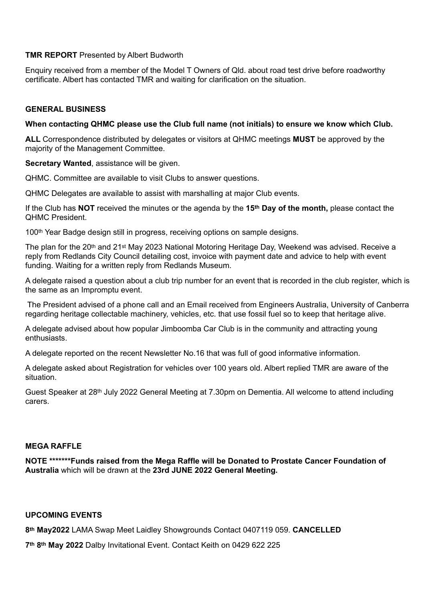## **TMR REPORT** Presented by Albert Budworth

Enquiry received from a member of the Model T Owners of Qld. about road test drive before roadworthy certificate. Albert has contacted TMR and waiting for clarification on the situation.

## **GENERAL BUSINESS**

## **When contacting QHMC please use the Club full name (not initials) to ensure we know which Club.**

**ALL** Correspondence distributed by delegates or visitors at QHMC meetings **MUST** be approved by the majority of the Management Committee.

**Secretary Wanted**, assistance will be given.

QHMC. Committee are available to visit Clubs to answer questions.

QHMC Delegates are available to assist with marshalling at major Club events.

If the Club has **NOT** received the minutes or the agenda by the **15th Day of the month,** please contact the QHMC President.

100th Year Badge design still in progress, receiving options on sample designs.

The plan for the 20<sup>th</sup> and 21<sup>st</sup> May 2023 National Motoring Heritage Day, Weekend was advised. Receive a reply from Redlands City Council detailing cost, invoice with payment date and advice to help with event funding. Waiting for a written reply from Redlands Museum.

A delegate raised a question about a club trip number for an event that is recorded in the club register, which is the same as an Impromptu event.

 The President advised of a phone call and an Email received from Engineers Australia, University of Canberra regarding heritage collectable machinery, vehicles, etc. that use fossil fuel so to keep that heritage alive.

A delegate advised about how popular Jimboomba Car Club is in the community and attracting young enthusiasts.

A delegate reported on the recent Newsletter No.16 that was full of good informative information.

A delegate asked about Registration for vehicles over 100 years old. Albert replied TMR are aware of the situation.

Guest Speaker at 28th July 2022 General Meeting at 7.30pm on Dementia. All welcome to attend including carers.

### **MEGA RAFFLE**

**NOTE \*\*\*\*\*\*\*Funds raised from the Mega Raffle will be Donated to Prostate Cancer Foundation of Australia** which will be drawn at the **23rd JUNE 2022 General Meeting.**

### **UPCOMING EVENTS**

**8th May2022** LAMA Swap Meet Laidley Showgrounds Contact 0407119 059. **CANCELLED**

**7th 8th May 2022** Dalby Invitational Event. Contact Keith on 0429 622 225